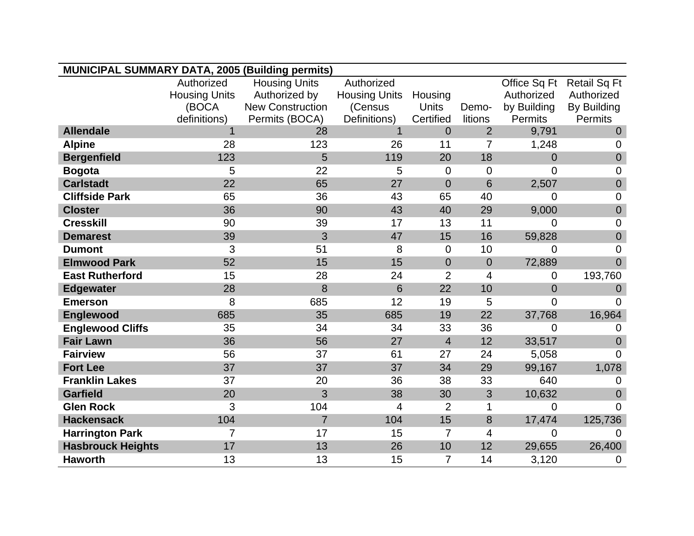| <b>MUNICIPAL SUMMARY DATA, 2005 (Building permits)</b> |                      |                         |                      |                |                |                |                     |
|--------------------------------------------------------|----------------------|-------------------------|----------------------|----------------|----------------|----------------|---------------------|
|                                                        | Authorized           | <b>Housing Units</b>    | Authorized           |                |                | Office Sq Ft   | <b>Retail Sq Ft</b> |
|                                                        | <b>Housing Units</b> | Authorized by           | <b>Housing Units</b> | Housing        |                | Authorized     | Authorized          |
|                                                        | (BOCA                | <b>New Construction</b> | (Census              | Units          | Demo-          | by Building    | By Building         |
|                                                        | definitions)         | Permits (BOCA)          | Definitions)         | Certified      | litions        | Permits        | Permits             |
| <b>Allendale</b>                                       |                      | 28                      | $\mathbf{1}$         | $\overline{0}$ | $\overline{2}$ | 9,791          | $\Omega$            |
| <b>Alpine</b>                                          | 28                   | 123                     | 26                   | 11             | $\overline{7}$ | 1,248          | 0                   |
| <b>Bergenfield</b>                                     | 123                  | 5                       | 119                  | 20             | 18             | $\overline{0}$ | $\mathbf 0$         |
| <b>Bogota</b>                                          | 5                    | 22                      | 5                    | $\mathbf 0$    | $\mathbf 0$    | $\overline{0}$ | $\mathbf 0$         |
| <b>Carlstadt</b>                                       | 22                   | 65                      | 27                   | $\mathbf 0$    | $6\phantom{1}$ | 2,507          | $\mathbf 0$         |
| <b>Cliffside Park</b>                                  | 65                   | 36                      | 43                   | 65             | 40             | $\overline{0}$ | $\overline{0}$      |
| <b>Closter</b>                                         | 36                   | 90                      | 43                   | 40             | 29             | 9,000          | $\mathbf 0$         |
| <b>Cresskill</b>                                       | 90                   | 39                      | 17                   | 13             | 11             | 0              | $\overline{0}$      |
| <b>Demarest</b>                                        | 39                   | 3                       | 47                   | 15             | 16             | 59,828         | $\mathbf 0$         |
| <b>Dumont</b>                                          | 3                    | 51                      | 8                    | $\mathbf 0$    | 10             | 0              | 0                   |
| <b>Elmwood Park</b>                                    | 52                   | 15                      | 15                   | $\overline{0}$ | $\mathbf 0$    | 72,889         | $\overline{0}$      |
| <b>East Rutherford</b>                                 | 15                   | 28                      | 24                   | $\overline{2}$ | 4              | 0              | 193,760             |
| <b>Edgewater</b>                                       | 28                   | 8                       | $6\phantom{1}6$      | 22             | 10             | $\overline{0}$ | $\mathbf 0$         |
| <b>Emerson</b>                                         | 8                    | 685                     | 12                   | 19             | 5              | $\overline{0}$ | $\Omega$            |
| Englewood                                              | 685                  | 35                      | 685                  | 19             | 22             | 37,768         | 16,964              |
| <b>Englewood Cliffs</b>                                | 35                   | 34                      | 34                   | 33             | 36             | $\overline{0}$ | 0                   |
| <b>Fair Lawn</b>                                       | 36                   | 56                      | 27                   | $\overline{4}$ | 12             | 33,517         | $\overline{0}$      |
| <b>Fairview</b>                                        | 56                   | 37                      | 61                   | 27             | 24             | 5,058          | $\overline{0}$      |
| <b>Fort Lee</b>                                        | 37                   | 37                      | 37                   | 34             | 29             | 99,167         | 1,078               |
| <b>Franklin Lakes</b>                                  | 37                   | 20                      | 36                   | 38             | 33             | 640            | 0                   |
| <b>Garfield</b>                                        | 20                   | 3                       | 38                   | 30             | $\mathfrak{B}$ | 10,632         | $\mathbf 0$         |
| <b>Glen Rock</b>                                       | 3                    | 104                     | 4                    | $\overline{2}$ | 1              | $\overline{0}$ | $\overline{0}$      |
| <b>Hackensack</b>                                      | 104                  | $\overline{7}$          | 104                  | 15             | 8              | 17,474         | 125,736             |
| <b>Harrington Park</b>                                 | $\overline{7}$       | 17                      | 15                   | $\overline{7}$ | 4              | $\overline{0}$ | 0                   |
| <b>Hasbrouck Heights</b>                               | 17                   | 13                      | 26                   | 10             | 12             | 29,655         | 26,400              |
| <b>Haworth</b>                                         | 13                   | 13                      | 15                   | 7              | 14             | 3,120          | $\mathbf 0$         |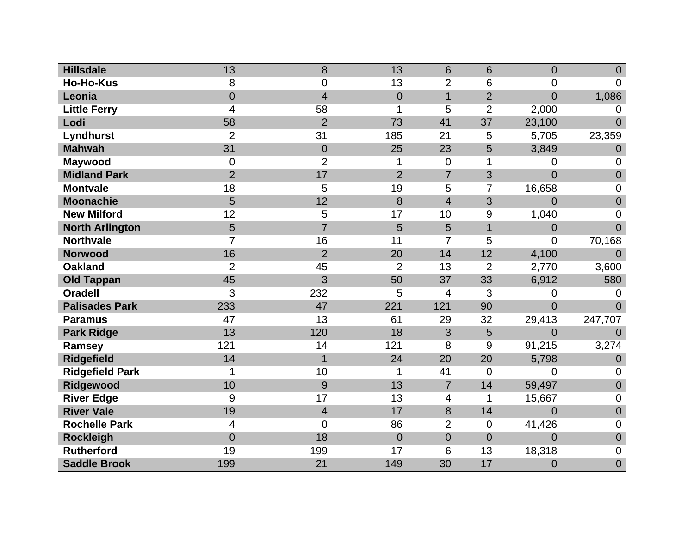| <b>Hillsdale</b>       | 13             | 8                | 13             | 6              | 6              | $\Omega$       | $\overline{0}$   |
|------------------------|----------------|------------------|----------------|----------------|----------------|----------------|------------------|
| <b>Ho-Ho-Kus</b>       | 8              | 0                | 13             | $\overline{2}$ | 6              | $\overline{0}$ | $\overline{0}$   |
| Leonia                 | $\mathbf 0$    | $\overline{4}$   | $\theta$       | $\mathbf{1}$   | $\overline{2}$ | $\overline{0}$ | 1,086            |
| <b>Little Ferry</b>    | 4              | 58               | 1              | 5              | $\overline{2}$ | 2,000          | $\Omega$         |
| Lodi                   | 58             | $\overline{2}$   | 73             | 41             | 37             | 23,100         | $\overline{0}$   |
| Lyndhurst              | $\overline{2}$ | 31               | 185            | 21             | 5              | 5,705          | 23,359           |
| <b>Mahwah</b>          | 31             | $\boldsymbol{0}$ | 25             | 23             | 5              | 3,849          | $\boldsymbol{0}$ |
| <b>Maywood</b>         | $\mathbf 0$    | $\overline{2}$   | 1              | $\overline{0}$ | 1              | $\overline{0}$ | $\Omega$         |
| <b>Midland Park</b>    | $\overline{2}$ | 17               | $\overline{2}$ | $\overline{7}$ | 3              | $\overline{0}$ | $\mathbf 0$      |
| <b>Montvale</b>        | 18             | 5                | 19             | 5              | 7              | 16,658         | 0                |
| <b>Moonachie</b>       | 5              | 12               | 8              | $\overline{4}$ | 3              | $\overline{0}$ | $\overline{0}$   |
| <b>New Milford</b>     | 12             | 5                | 17             | 10             | 9              | 1,040          | $\mathbf 0$      |
| <b>North Arlington</b> | $5\phantom{.}$ | $\overline{7}$   | 5              | 5              | 1              | $\mathbf 0$    | $\overline{0}$   |
| <b>Northvale</b>       | $\overline{7}$ | 16               | 11             | $\overline{7}$ | 5              | 0              | 70,168           |
| <b>Norwood</b>         | 16             | $\overline{2}$   | 20             | 14             | 12             | 4,100          | $\Omega$         |
| <b>Oakland</b>         | $\overline{2}$ | 45               | $\overline{2}$ | 13             | $\overline{2}$ | 2,770          | 3,600            |
| <b>Old Tappan</b>      | 45             | 3                | 50             | 37             | 33             | 6,912          | 580              |
| <b>Oradell</b>         | 3              | 232              | 5              | $\overline{4}$ | 3              | 0              | $\Omega$         |
| <b>Palisades Park</b>  | 233            | 47               | 221            | 121            | 90             | $\overline{0}$ | $\overline{0}$   |
| <b>Paramus</b>         | 47             | 13               | 61             | 29             | 32             | 29,413         | 247,707          |
| <b>Park Ridge</b>      | 13             | 120              | 18             | 3              | 5              | 0              | $\overline{0}$   |
| Ramsey                 | 121            | 14               | 121            | 8              | 9              | 91,215         | 3,274            |
| <b>Ridgefield</b>      | 14             | $\mathbf{1}$     | 24             | 20             | 20             | 5,798          | $\theta$         |
| <b>Ridgefield Park</b> | 1              | 10               | 1              | 41             | $\overline{0}$ | 0              | $\overline{0}$   |
| Ridgewood              | 10             | 9                | 13             | $\overline{7}$ | 14             | 59,497         | $\mathbf 0$      |
| <b>River Edge</b>      | 9              | 17               | 13             | 4              | 1              | 15,667         | $\overline{0}$   |
| <b>River Vale</b>      | 19             | $\overline{4}$   | 17             | 8              | 14             | $\overline{0}$ | $\theta$         |
| <b>Rochelle Park</b>   | $\overline{4}$ | 0                | 86             | $\overline{2}$ | $\mathbf 0$    | 41,426         | $\overline{0}$   |
| <b>Rockleigh</b>       | $\overline{0}$ | 18               | $\overline{0}$ | $\overline{0}$ | $\overline{0}$ | $\overline{0}$ | $\overline{0}$   |
| <b>Rutherford</b>      | 19             | 199              | 17             | 6              | 13             | 18,318         | $\mathbf 0$      |
| <b>Saddle Brook</b>    | 199            | 21               | 149            | 30             | 17             | 0              | $\overline{0}$   |